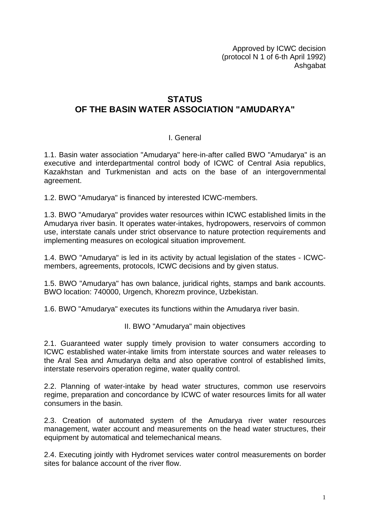Approved by ICWC decision (protocol N 1 of 6-th April 1992) Ashgabat

## **STATUS**

## **OF THE BASIN WATER ASSOCIATION "AMUDARYA"**

## I. General

1.1. Basin water association "Amudarya" here-in-after called BWO "Amudarya" is an executive and interdepartmental control body of ICWC of Central Asia republics, Kazakhstan and Turkmenistan and acts on the base of an intergovernmental agreement.

1.2. BWO "Amudarya" is financed by interested ICWC-members.

1.3. BWO "Amudarya" provides water resources within ICWC established limits in the Amudarya river basin. It operates water-intakes, hydropowers, reservoirs of common use, interstate canals under strict observance to nature protection requirements and implementing measures on ecological situation improvement.

1.4. BWO "Amudarya" is led in its activity by actual legislation of the states - ICWCmembers, agreements, protocols, ICWC decisions and by given status.

1.5. BWO "Amudarya" has own balance, juridical rights, stamps and bank accounts. BWO location: 740000, Urgench, Khorezm province, Uzbekistan.

1.6. BWO "Amudarya" executes its functions within the Amudarya river basin.

II. BWO "Amudarya" main objectives

2.1. Guaranteed water supply timely provision to water consumers according to ICWC established water-intake limits from interstate sources and water releases to the Aral Sea and Amudarya delta and also operative control of established limits, interstate reservoirs operation regime, water quality control.

2.2. Planning of water-intake by head water structures, common use reservoirs regime, preparation and concordance by ICWC of water resources limits for all water consumers in the basin.

2.3. Creation of automated system of the Amudarya river water resources management, water account and measurements on the head water structures, their equipment by automatical and telemechanical means.

2.4. Executing jointly with Hydromet services water control measurements on border sites for balance account of the river flow.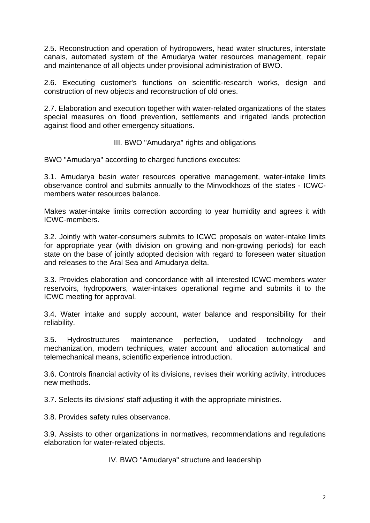2.5. Reconstruction and operation of hydropowers, head water structures, interstate canals, automated system of the Amudarya water resources management, repair and maintenance of all objects under provisional administration of BWO.

2.6. Executing customer's functions on scientific-research works, design and construction of new objects and reconstruction of old ones.

2.7. Elaboration and execution together with water-related organizations of the states special measures on flood prevention, settlements and irrigated lands protection against flood and other emergency situations.

III. BWO "Amudarya" rights and obligations

BWO "Amudarya" according to charged functions executes:

3.1. Amudarya basin water resources operative management, water-intake limits observance control and submits annually to the Minvodkhozs of the states - ICWCmembers water resources balance.

Makes water-intake limits correction according to year humidity and agrees it with ICWC-members.

3.2. Jointly with water-consumers submits to ICWC proposals on water-intake limits for appropriate year (with division on growing and non-growing periods) for each state on the base of jointly adopted decision with regard to foreseen water situation and releases to the Aral Sea and Amudarya delta.

3.3. Provides elaboration and concordance with all interested ICWC-members water reservoirs, hydropowers, water-intakes operational regime and submits it to the ICWC meeting for approval.

3.4. Water intake and supply account, water balance and responsibility for their reliability.

3.5. Hydrostructures maintenance perfection, updated technology and mechanization, modern techniques, water account and allocation automatical and telemechanical means, scientific experience introduction.

3.6. Controls financial activity of its divisions, revises their working activity, introduces new methods.

3.7. Selects its divisions' staff adjusting it with the appropriate ministries.

3.8. Provides safety rules observance.

3.9. Assists to other organizations in normatives, recommendations and regulations elaboration for water-related objects.

IV. BWO "Amudarya" structure and leadership